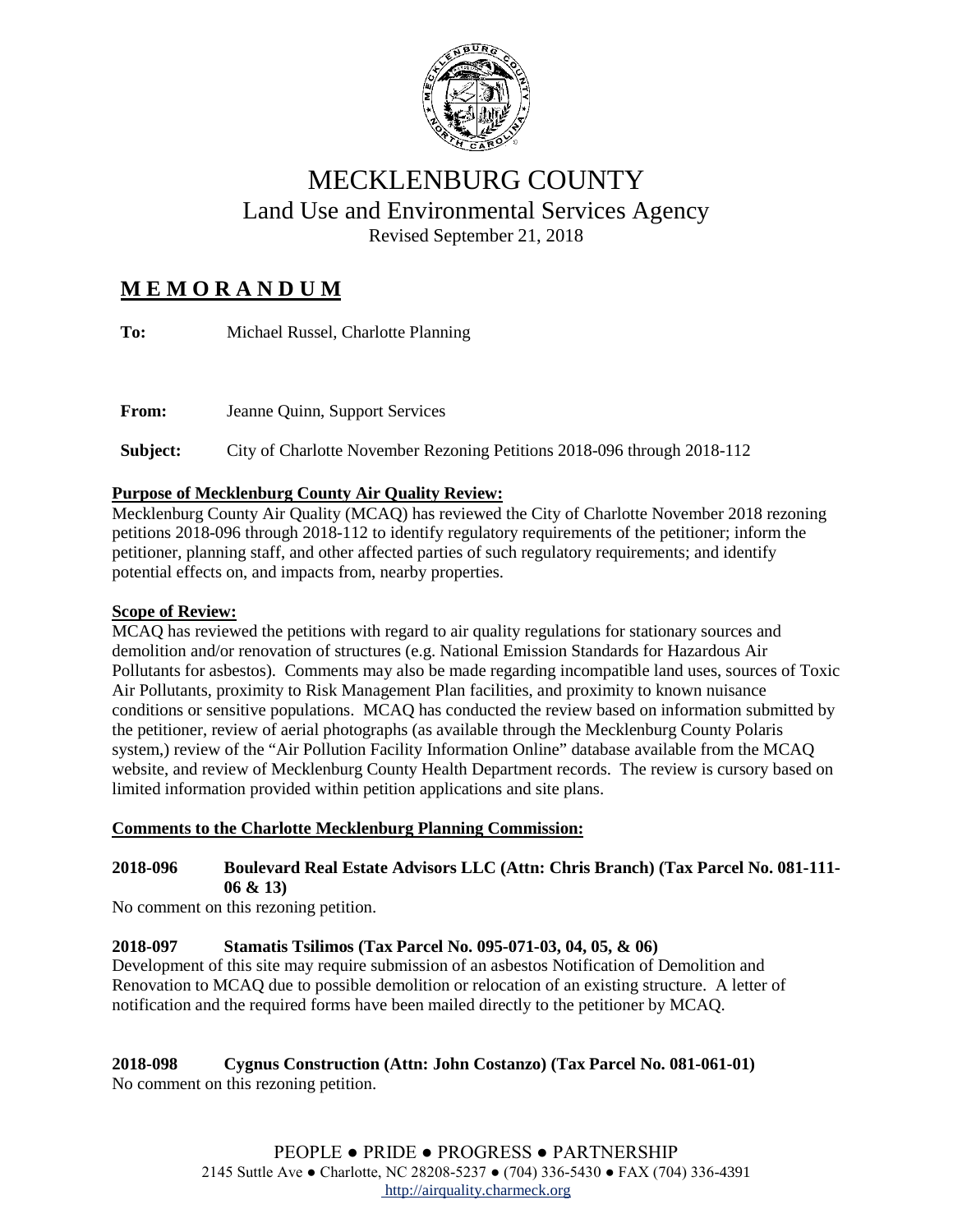

# MECKLENBURG COUNTY Land Use and Environmental Services Agency Revised September 21, 2018

# **M E M O R A N D U M**

**To:** Michael Russel, Charlotte Planning

**Subject:** City of Charlotte November Rezoning Petitions 2018-096 through 2018-112

# **Purpose of Mecklenburg County Air Quality Review:**

**From:** Jeanne Quinn, Support Services

Mecklenburg County Air Quality (MCAQ) has reviewed the City of Charlotte November 2018 rezoning petitions 2018-096 through 2018-112 to identify regulatory requirements of the petitioner; inform the petitioner, planning staff, and other affected parties of such regulatory requirements; and identify potential effects on, and impacts from, nearby properties.

# **Scope of Review:**

MCAQ has reviewed the petitions with regard to air quality regulations for stationary sources and demolition and/or renovation of structures (e.g. National Emission Standards for Hazardous Air Pollutants for asbestos). Comments may also be made regarding incompatible land uses, sources of Toxic Air Pollutants, proximity to Risk Management Plan facilities, and proximity to known nuisance conditions or sensitive populations. MCAQ has conducted the review based on information submitted by the petitioner, review of aerial photographs (as available through the Mecklenburg County Polaris system,) review of the "Air Pollution Facility Information Online" database available from the MCAQ website, and review of Mecklenburg County Health Department records. The review is cursory based on limited information provided within petition applications and site plans.

## **Comments to the Charlotte Mecklenburg Planning Commission:**

# **2018-096 Boulevard Real Estate Advisors LLC (Attn: Chris Branch) (Tax Parcel No. 081-111- 06 & 13)**

No comment on this rezoning petition.

# **2018-097 Stamatis Tsilimos (Tax Parcel No. 095-071-03, 04, 05, & 06)**

Development of this site may require submission of an asbestos Notification of Demolition and Renovation to MCAQ due to possible demolition or relocation of an existing structure. A letter of notification and the required forms have been mailed directly to the petitioner by MCAQ.

# **2018-098 Cygnus Construction (Attn: John Costanzo) (Tax Parcel No. 081-061-01)**

No comment on this rezoning petition.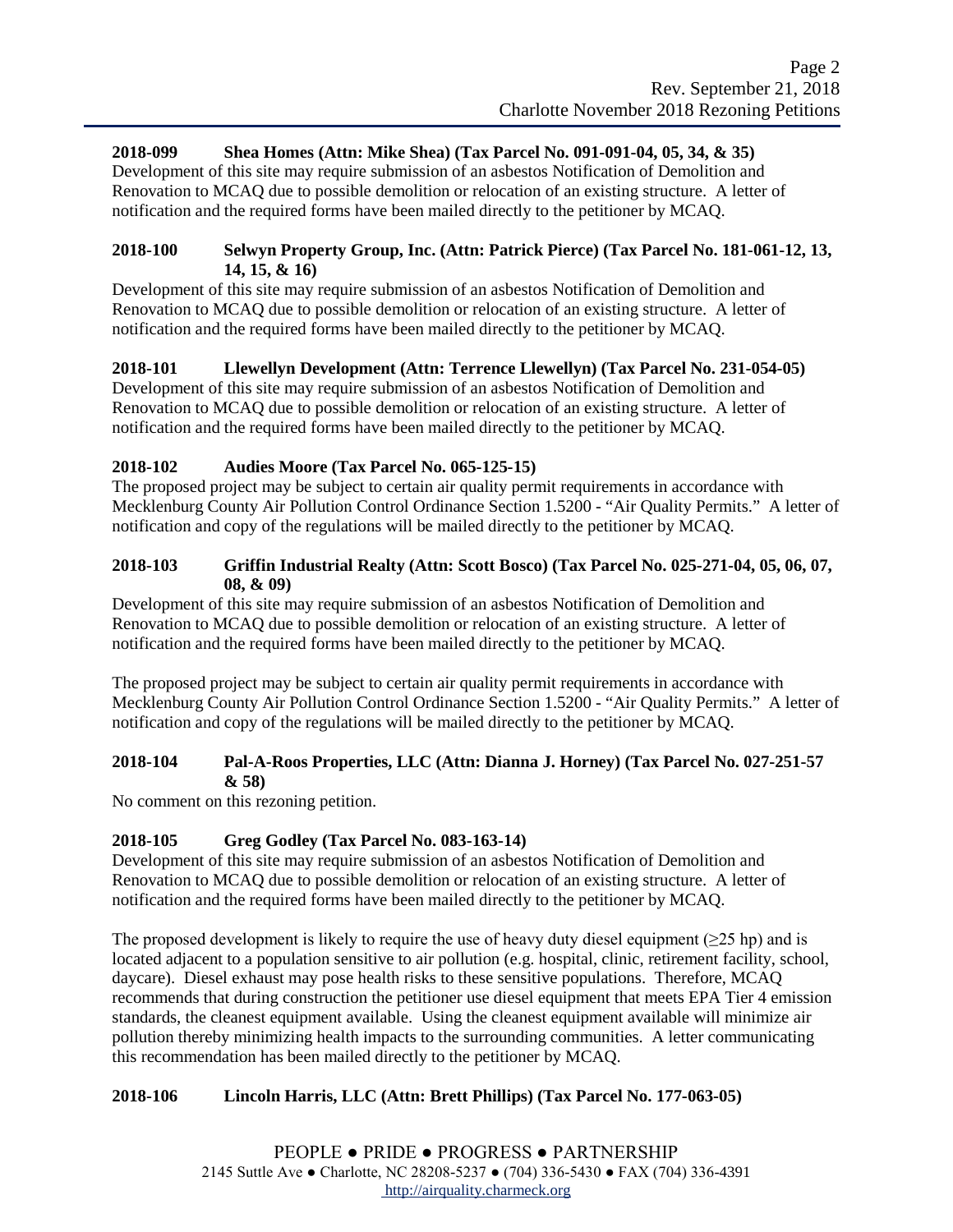### **2018-099 Shea Homes (Attn: Mike Shea) (Tax Parcel No. 091-091-04, 05, 34, & 35)**

Development of this site may require submission of an asbestos Notification of Demolition and Renovation to MCAQ due to possible demolition or relocation of an existing structure. A letter of notification and the required forms have been mailed directly to the petitioner by MCAQ.

#### **2018-100 Selwyn Property Group, Inc. (Attn: Patrick Pierce) (Tax Parcel No. 181-061-12, 13, 14, 15, & 16)**

Development of this site may require submission of an asbestos Notification of Demolition and Renovation to MCAQ due to possible demolition or relocation of an existing structure. A letter of notification and the required forms have been mailed directly to the petitioner by MCAQ.

## **2018-101 Llewellyn Development (Attn: Terrence Llewellyn) (Tax Parcel No. 231-054-05)**

Development of this site may require submission of an asbestos Notification of Demolition and Renovation to MCAQ due to possible demolition or relocation of an existing structure. A letter of notification and the required forms have been mailed directly to the petitioner by MCAQ.

## **2018-102 Audies Moore (Tax Parcel No. 065-125-15)**

The proposed project may be subject to certain air quality permit requirements in accordance with Mecklenburg County Air Pollution Control Ordinance Section 1.5200 - "Air Quality Permits." A letter of notification and copy of the regulations will be mailed directly to the petitioner by MCAQ.

#### **2018-103 Griffin Industrial Realty (Attn: Scott Bosco) (Tax Parcel No. 025-271-04, 05, 06, 07, 08, & 09)**

Development of this site may require submission of an asbestos Notification of Demolition and Renovation to MCAQ due to possible demolition or relocation of an existing structure. A letter of notification and the required forms have been mailed directly to the petitioner by MCAQ.

The proposed project may be subject to certain air quality permit requirements in accordance with Mecklenburg County Air Pollution Control Ordinance Section 1.5200 - "Air Quality Permits." A letter of notification and copy of the regulations will be mailed directly to the petitioner by MCAQ.

## **2018-104 Pal-A-Roos Properties, LLC (Attn: Dianna J. Horney) (Tax Parcel No. 027-251-57 & 58)**

No comment on this rezoning petition.

## **2018-105 Greg Godley (Tax Parcel No. 083-163-14)**

Development of this site may require submission of an asbestos Notification of Demolition and Renovation to MCAQ due to possible demolition or relocation of an existing structure. A letter of notification and the required forms have been mailed directly to the petitioner by MCAQ.

The proposed development is likely to require the use of heavy duty diesel equipment ( $\geq$ 25 hp) and is located adjacent to a population sensitive to air pollution (e.g. hospital, clinic, retirement facility, school, daycare). Diesel exhaust may pose health risks to these sensitive populations. Therefore, MCAQ recommends that during construction the petitioner use diesel equipment that meets EPA Tier 4 emission standards, the cleanest equipment available. Using the cleanest equipment available will minimize air pollution thereby minimizing health impacts to the surrounding communities. A letter communicating this recommendation has been mailed directly to the petitioner by MCAQ.

## **2018-106 Lincoln Harris, LLC (Attn: Brett Phillips) (Tax Parcel No. 177-063-05)**